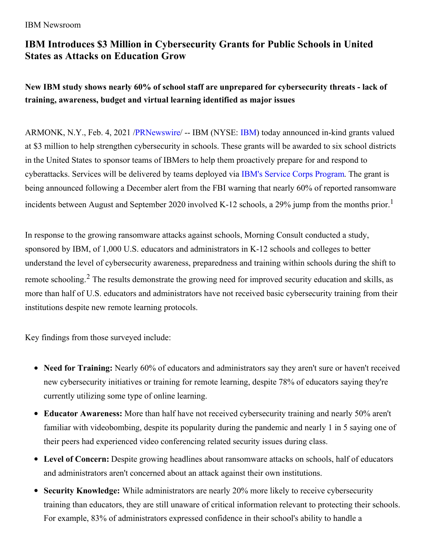### IBM Newsroom

# **IBM Introduces \$3 Million in Cybersecurity Grants for Public Schools in United States as Attacks on Education Grow**

**New IBM study shows nearly 60% of school staff are unprepared for cybersecurity threats - lack of training, awareness, budget and virtual learning identified as major issues**

ARMONK, N.Y., Feb. 4, 2021 [/PRNewswire](http://www.prnewswire.com/)/ -- IBM (NYSE: [IBM](https://c212.net/c/link/?t=0&l=en&o=3057960-1&h=4178723428&u=http%3A%2F%2Fwww.ibm.com%2Finvestor&a=IBM)) today announced in-kind grants valued at \$3 million to help strengthen cybersecurity in schools. These grants will be awarded to six school districts in the United States to sponsor teams of IBMers to help them proactively prepare for and respond to cyberattacks. Services will be delivered by teams deployed via IBM's Service Corps [Program](https://c212.net/c/link/?t=0&l=en&o=3057960-1&h=828592597&u=https%3A%2F%2Fwww.ibm.org%2Finitiatives%2Fibm-service-corps&a=IBM%27s+Service+Corps+Program). The grant is being announced following a December alert from the FBI warning that nearly 60% of reported ransomware incidents between August and September 2020 involved K-12 schools, a 29% jump from the months prior.<sup>1</sup>

In response to the growing ransomware attacks against schools, Morning Consult conducted a study, sponsored by IBM, of 1,000 U.S. educators and administrators in K-12 schools and colleges to better understand the level of cybersecurity awareness, preparedness and training within schools during the shift to remote schooling.<sup>2</sup> The results demonstrate the growing need for improved security education and skills, as more than half of U.S. educators and administrators have not received basic cybersecurity training from their institutions despite new remote learning protocols.

Key findings from those surveyed include:

- **Need for Training:** Nearly 60% of educators and administrators say they aren't sure or haven't received new cybersecurity initiatives or training for remote learning, despite 78% of educators saying they're currently utilizing some type of online learning.
- **Educator Awareness:** More than half have not received cybersecurity training and nearly 50% aren't familiar with videobombing, despite its popularity during the pandemic and nearly 1 in 5 saying one of their peers had experienced video conferencing related security issues during class.
- **Level of Concern:** Despite growing headlines about ransomware attacks on schools, half of educators and administrators aren't concerned about an attack against their own institutions.
- **Security Knowledge:** While administrators are nearly 20% more likely to receive cybersecurity  $\bullet$ training than educators, they are still unaware of critical information relevant to protecting their schools. For example, 83% of administrators expressed confidence in their school's ability to handle a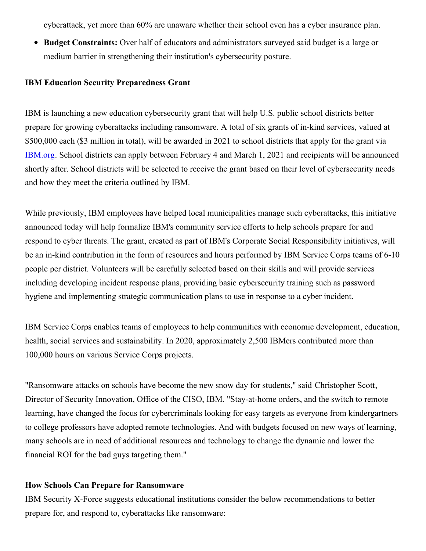cyberattack, yet more than 60% are unaware whether their school even has a cyber insurance plan.

**Budget Constraints:** Over half of educators and administrators surveyed said budget is a large or medium barrier in strengthening their institution's cybersecurity posture.

#### **IBM Education Security Preparedness Grant**

IBM is launching a new education cybersecurity grant that will help U.S. public school districts better prepare for growing cyberattacks including ransomware. A total of six grants of in-kind services, valued at \$500,000 each (\$3 million in total), will be awarded in 2021 to school districts that apply for the grant via [IBM.org](https://c212.net/c/link/?t=0&l=en&o=3057960-1&h=1196003962&u=https%3A%2F%2Fibm.biz%2Fsecurity-grant&a=IBM.org). School districts can apply between February 4 and March 1, 2021 and recipients will be announced shortly after. School districts will be selected to receive the grant based on their level of cybersecurity needs and how they meet the criteria outlined by IBM.

While previously, IBM employees have helped local municipalities manage such cyberattacks, this initiative announced today will help formalize IBM's community service efforts to help schools prepare for and respond to cyber threats. The grant, created as part of IBM's Corporate Social Responsibility initiatives, will be an in-kind contribution in the form of resources and hours performed by IBM Service Corps teams of 6-10 people per district. Volunteers will be carefully selected based on their skills and will provide services including developing incident response plans, providing basic cybersecurity training such as password hygiene and implementing strategic communication plans to use in response to a cyber incident.

IBM Service Corps enables teams of employees to help communities with economic development, education, health, social services and sustainability. In 2020, approximately 2,500 IBMers contributed more than 100,000 hours on various Service Corps projects.

"Ransomware attacks on schools have become the new snow day for students," said Christopher Scott, Director of Security Innovation, Office of the CISO, IBM. "Stay-at-home orders, and the switch to remote learning, have changed the focus for cybercriminals looking for easy targets as everyone from kindergartners to college professors have adopted remote technologies. And with budgets focused on new ways of learning, many schools are in need of additional resources and technology to change the dynamic and lower the financial ROI for the bad guys targeting them."

#### **How Schools Can Prepare for Ransomware**

IBM Security X-Force suggests educational institutions consider the below recommendations to better prepare for, and respond to, cyberattacks like ransomware: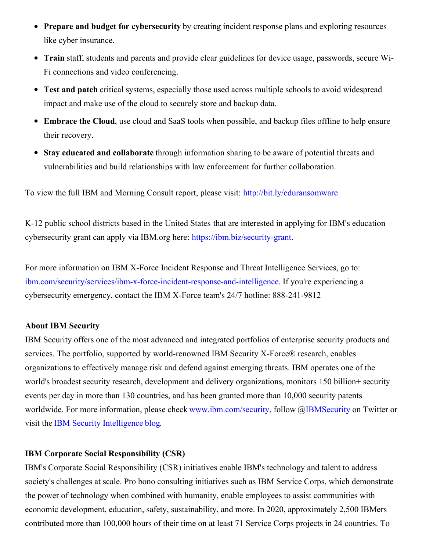- **Prepare and budget for cybersecurity** by creating incident response plans and exploring resources like cyber insurance.
- **Train** staff, students and parents and provide clear guidelines for device usage, passwords, secure Wi-Fi connections and video conferencing.
- **Test and patch** critical systems, especially those used across multiple schools to avoid widespread impact and make use of the cloud to securely store and backup data.
- **Embrace the Cloud**, use cloud and SaaS tools when possible, and backup files offline to help ensure their recovery.
- **Stay educated and collaborate** through information sharing to be aware of potential threats and vulnerabilities and build relationships with law enforcement for further collaboration.

To view the full IBM and Morning Consult report, please visit: [http://bit.ly/eduransomware](https://c212.net/c/link/?t=0&l=en&o=3057960-1&h=2068196482&u=http%3A%2F%2Fbit.ly%2Feduransomware&a=http%3A%2F%2Fbit.ly%2Feduransomware)

K-12 public school districts based in the United States that are interested in applying for IBM's education cybersecurity grant can apply via IBM.org here: [https://ibm.biz/security-grant](https://c212.net/c/link/?t=0&l=en&o=3057960-1&h=2462308346&u=https%3A%2F%2Fibm.biz%2Fsecurity-grant&a=https%3A%2F%2Fibm.biz%2Fsecurity-grant).

For more information on IBM X-Force Incident Response and Threat Intelligence Services, go to: [ibm.com/security/services/ibm-x-force-incident-response-and-intelligence](https://c212.net/c/link/?t=0&l=en&o=3057960-1&h=1368771089&u=https%3A%2F%2Fwww.ibm.com%2Fsecurity%2Fservices%2Fibm-x-force-incident-response-and-intelligence&a=ibm.com%2Fsecurity%2Fservices%2Fibm-x-force-incident-response-and-intelligence). If you're experiencing a cybersecurity emergency, contact the IBM X-Force team's 24/7 hotline: 888-241-9812

### **About IBM Security**

IBM Security offers one of the most advanced and integrated portfolios of enterprise security products and services. The portfolio, supported by world-renowned IBM Security X-Force® research, enables organizations to effectively manage risk and defend against emerging threats. IBM operates one of the world's broadest security research, development and delivery organizations, monitors 150 billion+ security events per day in more than 130 countries, and has been granted more than 10,000 security patents worldwide. For more information, please check [www.ibm.com/security](https://c212.net/c/link/?t=0&l=en&o=3057960-1&h=184801804&u=https%3A%2F%2Fc212.net%2Fc%2Flink%2F%3Ft%3D0%26l%3Den%26o%3D3003462-1%26h%3D4146918050%26u%3Dhttps%253A%252F%252Fc212.net%252Fc%252Flink%252F%253Ft%253D0%2526l%253Den%2526o%253D2966805-1%2526h%253D1855603407%2526u%253Dhttps%25253A%25252F%25252Fc212.net%25252Fc%25252Flink%25252F%25253Ft%25253D0%252526l%25253Den%252526o%25253D2531681-1%252526h%25253D3704743972%252526u%25253Dhttps%2525253A%2525252F%2525252Fc212.net%2525252Fc%2525252Flink%2525252F%2525253Ft%2525253D0%25252526l%2525253Den%25252526o%2525253D2433262-1%25252526h%2525253D3948607165%25252526u%2525253Dhttp%252525253A%252525252F%252525252Fwww.ibm.com%252525252Fsecurity%25252526a%2525253Dwww.ibm.com%252525252Fsecurity%252526a%25253Dwww.ibm.com%2525252Fsecurity%2526a%253Dwww.ibm.com%25252Fsecurity%26a%3Dwww.ibm.com%252Fsecurity&a=www.ibm.com%2Fsecurity), follow [@IBMSecurity](https://c212.net/c/link/?t=0&l=en&o=3057960-1&h=1346634044&u=https%3A%2F%2Fc212.net%2Fc%2Flink%2F%3Ft%3D0%26l%3Den%26o%3D3003462-1%26h%3D1128808586%26u%3Dhttps%253A%252F%252Fc212.net%252Fc%252Flink%252F%253Ft%253D0%2526l%253Den%2526o%253D2966805-1%2526h%253D2291642521%2526u%253Dhttps%25253A%25252F%25252Fc212.net%25252Fc%25252Flink%25252F%25253Ft%25253D0%252526l%25253Den%252526o%25253D2531681-1%252526h%25253D803548485%252526u%25253Dhttps%2525253A%2525252F%2525252Fc212.net%2525252Fc%2525252Flink%2525252F%2525253Ft%2525253D0%25252526l%2525253Den%25252526o%2525253D2433262-1%25252526h%2525253D2941630816%25252526u%2525253Dhttps%252525253A%252525252F%252525252Ftwitter.com%252525252Fibmsecurity%25252526a%2525253DIBMSecurity%252526a%25253DIBMSecurity%2526a%253DIBMSecurity%26a%3DIBMSecurity&a=IBMSecurity) on Twitter or visit the IBM Security [Intelligence](https://c212.net/c/link/?t=0&l=en&o=3057960-1&h=106957482&u=https%3A%2F%2Fc212.net%2Fc%2Flink%2F%3Ft%3D0%26l%3Den%26o%3D3003462-1%26h%3D958859188%26u%3Dhttps%253A%252F%252Fc212.net%252Fc%252Flink%252F%253Ft%253D0%2526l%253Den%2526o%253D2966805-1%2526h%253D263431261%2526u%253Dhttps%25253A%25252F%25252Fc212.net%25252Fc%25252Flink%25252F%25253Ft%25253D0%252526l%25253Den%252526o%25253D2531681-1%252526h%25253D1729736944%252526u%25253Dhttps%2525253A%2525252F%2525252Fc212.net%2525252Fc%2525252Flink%2525252F%2525253Ft%2525253D0%25252526l%2525253Den%25252526o%2525253D2433262-1%25252526h%2525253D2430183222%25252526u%2525253Dhttp%252525253A%252525252F%252525252Fsecurityintelligence.com%252525252F%25252526a%2525253DIBM%2525252BSecurity%2525252BIntelligence%25252525E2%2525252580%25252525AFblog%252526a%25253DIBM%25252BSecurity%25252BIntelligence%252525E2%25252580%252525AFblog%2526a%253DIBM%252BSecurity%252BIntelligence%2525E2%252580%2525AFblog%26a%3DIBM%2BSecurity%2BIntelligence%25E2%2580%25AFblog&a=IBM+Security+Intelligence%E2%80%AFblog) blog.

## **IBM Corporate Social Responsibility (CSR)**

IBM's Corporate Social Responsibility (CSR) initiatives enable IBM's technology and talent to address society's challenges at scale. Pro bono consulting initiatives such as IBM Service Corps, which demonstrate the power of technology when combined with humanity, enable employees to assist communities with economic development, education, safety, sustainability, and more. In 2020, approximately 2,500 IBMers contributed more than 100,000 hours of their time on at least 71 Service Corps projects in 24 countries. To